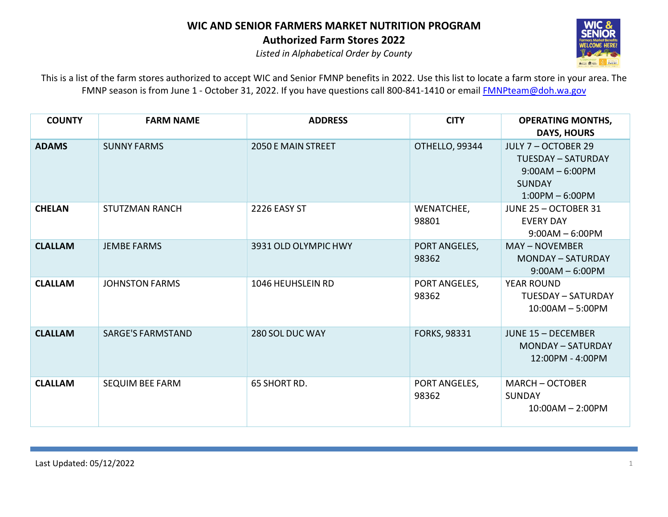

*Listed in Alphabetical Order by County*

| <b>COUNTY</b>  | <b>FARM NAME</b>         | <b>ADDRESS</b>            | <b>CITY</b>            | <b>OPERATING MONTHS,</b><br><b>DAYS, HOURS</b>                                                              |
|----------------|--------------------------|---------------------------|------------------------|-------------------------------------------------------------------------------------------------------------|
| <b>ADAMS</b>   | <b>SUNNY FARMS</b>       | <b>2050 E MAIN STREET</b> | OTHELLO, 99344         | JULY 7 - OCTOBER 29<br><b>TUESDAY - SATURDAY</b><br>$9:00AM - 6:00PM$<br><b>SUNDAY</b><br>$1:00PM - 6:00PM$ |
| <b>CHELAN</b>  | <b>STUTZMAN RANCH</b>    | 2226 EASY ST              | WENATCHEE,<br>98801    | JUNE 25 - OCTOBER 31<br><b>EVERY DAY</b><br>$9:00AM - 6:00PM$                                               |
| <b>CLALLAM</b> | <b>JEMBE FARMS</b>       | 3931 OLD OLYMPIC HWY      | PORT ANGELES,<br>98362 | <b>MAY-NOVEMBER</b><br><b>MONDAY - SATURDAY</b><br>$9:00AM - 6:00PM$                                        |
| <b>CLALLAM</b> | <b>JOHNSTON FARMS</b>    | 1046 HEUHSLEIN RD         | PORT ANGELES,<br>98362 | <b>YEAR ROUND</b><br><b>TUESDAY - SATURDAY</b><br>$10:00AM - 5:00PM$                                        |
| <b>CLALLAM</b> | <b>SARGE'S FARMSTAND</b> | 280 SOL DUC WAY           | <b>FORKS, 98331</b>    | <b>JUNE 15 - DECEMBER</b><br><b>MONDAY - SATURDAY</b><br>12:00PM - 4:00PM                                   |
| <b>CLALLAM</b> | <b>SEQUIM BEE FARM</b>   | 65 SHORT RD.              | PORT ANGELES,<br>98362 | <b>MARCH - OCTOBER</b><br><b>SUNDAY</b><br>$10:00AM - 2:00PM$                                               |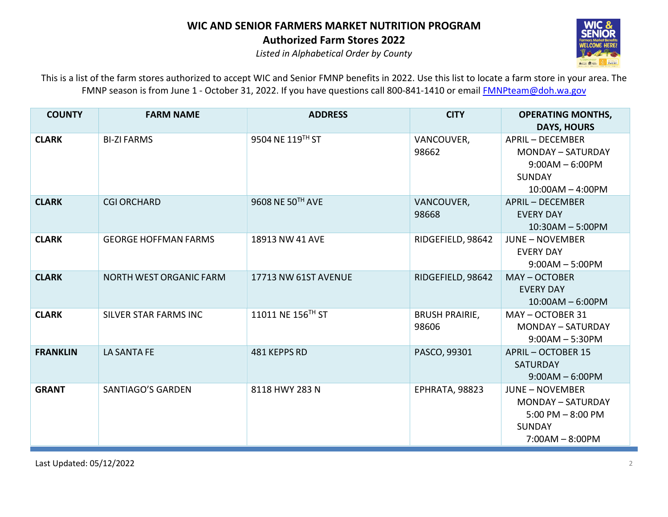

*Listed in Alphabetical Order by County*

| <b>COUNTY</b>   | <b>FARM NAME</b>               | <b>ADDRESS</b>       | <b>CITY</b>                    | <b>OPERATING MONTHS,</b><br><b>DAYS, HOURS</b>                                                                  |
|-----------------|--------------------------------|----------------------|--------------------------------|-----------------------------------------------------------------------------------------------------------------|
| <b>CLARK</b>    | <b>BI-ZI FARMS</b>             | 9504 NE 119TH ST     | VANCOUVER,<br>98662            | <b>APRIL - DECEMBER</b><br><b>MONDAY - SATURDAY</b><br>$9:00AM - 6:00PM$<br><b>SUNDAY</b><br>$10:00AM - 4:00PM$ |
| <b>CLARK</b>    | <b>CGI ORCHARD</b>             | 9608 NE 50TH AVE     | VANCOUVER,<br>98668            | <b>APRIL - DECEMBER</b><br><b>EVERY DAY</b><br>$10:30AM - 5:00PM$                                               |
| <b>CLARK</b>    | <b>GEORGE HOFFMAN FARMS</b>    | 18913 NW 41 AVE      | RIDGEFIELD, 98642              | <b>JUNE - NOVEMBER</b><br><b>EVERY DAY</b><br>$9:00AM - 5:00PM$                                                 |
| <b>CLARK</b>    | <b>NORTH WEST ORGANIC FARM</b> | 17713 NW 61ST AVENUE | RIDGEFIELD, 98642              | MAY-OCTOBER<br><b>EVERY DAY</b><br>$10:00AM - 6:00PM$                                                           |
| <b>CLARK</b>    | SILVER STAR FARMS INC          | 11011 NE 156TH ST    | <b>BRUSH PRAIRIE,</b><br>98606 | MAY-OCTOBER 31<br><b>MONDAY - SATURDAY</b><br>$9:00AM - 5:30PM$                                                 |
| <b>FRANKLIN</b> | LA SANTA FE                    | 481 KEPPS RD         | PASCO, 99301                   | <b>APRIL - OCTOBER 15</b><br><b>SATURDAY</b><br>$9:00AM - 6:00PM$                                               |
| <b>GRANT</b>    | SANTIAGO'S GARDEN              | 8118 HWY 283 N       | EPHRATA, 98823                 | <b>JUNE - NOVEMBER</b><br>MONDAY - SATURDAY<br>$5:00$ PM $-8:00$ PM<br><b>SUNDAY</b><br>$7:00AM - 8:00PM$       |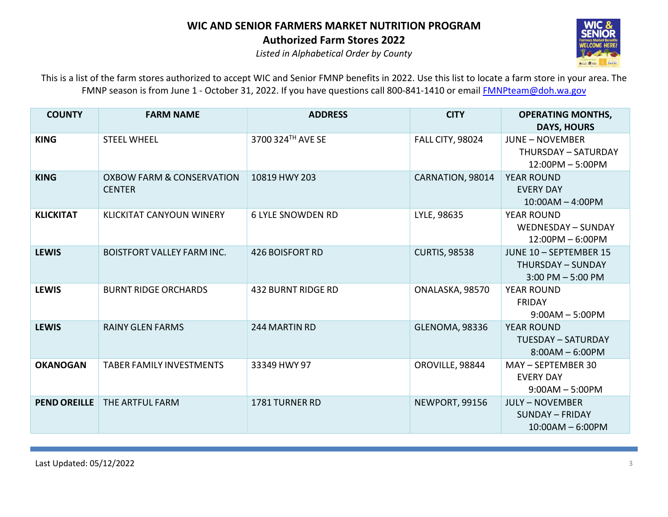

*Listed in Alphabetical Order by County*

| <b>COUNTY</b>       | <b>FARM NAME</b>                                      | <b>ADDRESS</b>            | <b>CITY</b>             | <b>OPERATING MONTHS,</b><br><b>DAYS, HOURS</b>                             |
|---------------------|-------------------------------------------------------|---------------------------|-------------------------|----------------------------------------------------------------------------|
| <b>KING</b>         | <b>STEEL WHEEL</b>                                    | 3700 324TH AVE SE         | <b>FALL CITY, 98024</b> | <b>JUNE - NOVEMBER</b><br>THURSDAY - SATURDAY<br>12:00PM - 5:00PM          |
| <b>KING</b>         | <b>OXBOW FARM &amp; CONSERVATION</b><br><b>CENTER</b> | 10819 HWY 203             | CARNATION, 98014        | <b>YEAR ROUND</b><br><b>EVERY DAY</b><br>$10:00AM - 4:00PM$                |
| <b>KLICKITAT</b>    | <b>KLICKITAT CANYOUN WINERY</b>                       | <b>6 LYLE SNOWDEN RD</b>  | LYLE, 98635             | <b>YEAR ROUND</b><br>WEDNESDAY - SUNDAY<br>$12:00PM - 6:00PM$              |
| <b>LEWIS</b>        | <b>BOISTFORT VALLEY FARM INC.</b>                     | <b>426 BOISFORT RD</b>    | <b>CURTIS, 98538</b>    | JUNE 10 - SEPTEMBER 15<br><b>THURSDAY - SUNDAY</b><br>$3:00$ PM $-5:00$ PM |
| <b>LEWIS</b>        | <b>BURNT RIDGE ORCHARDS</b>                           | <b>432 BURNT RIDGE RD</b> | ONALASKA, 98570         | <b>YEAR ROUND</b><br><b>FRIDAY</b><br>$9:00AM - 5:00PM$                    |
| <b>LEWIS</b>        | <b>RAINY GLEN FARMS</b>                               | 244 MARTIN RD             | <b>GLENOMA, 98336</b>   | <b>YEAR ROUND</b><br><b>TUESDAY - SATURDAY</b><br>$8:00AM - 6:00PM$        |
| <b>OKANOGAN</b>     | <b>TABER FAMILY INVESTMENTS</b>                       | 33349 HWY 97              | OROVILLE, 98844         | MAY - SEPTEMBER 30<br><b>EVERY DAY</b><br>$9:00AM - 5:00PM$                |
| <b>PEND OREILLE</b> | THE ARTFUL FARM                                       | 1781 TURNER RD            | NEWPORT, 99156          | <b>JULY - NOVEMBER</b><br><b>SUNDAY - FRIDAY</b><br>$10:00AM - 6:00PM$     |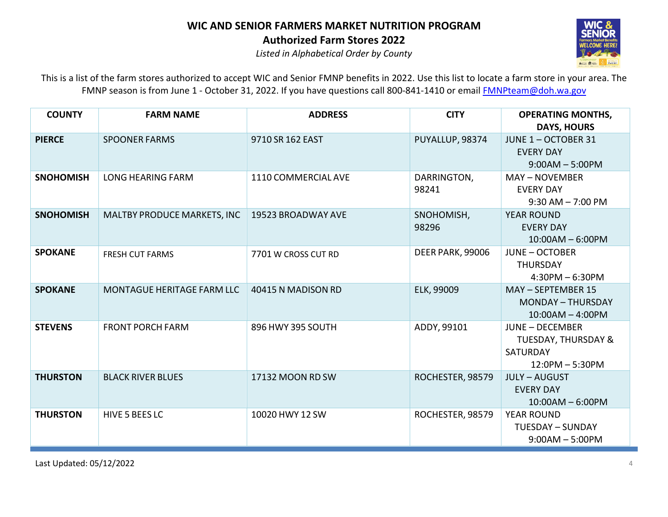

*Listed in Alphabetical Order by County*

| <b>COUNTY</b>    | <b>FARM NAME</b>                  | <b>ADDRESS</b>      | <b>CITY</b>      | <b>OPERATING MONTHS,</b>       |
|------------------|-----------------------------------|---------------------|------------------|--------------------------------|
|                  |                                   |                     |                  | <b>DAYS, HOURS</b>             |
| <b>PIERCE</b>    | <b>SPOONER FARMS</b>              | 9710 SR 162 EAST    | PUYALLUP, 98374  | JUNE 1-OCTOBER 31              |
|                  |                                   |                     |                  | <b>EVERY DAY</b>               |
|                  |                                   |                     |                  | $9:00AM - 5:00PM$              |
| <b>SNOHOMISH</b> | <b>LONG HEARING FARM</b>          | 1110 COMMERCIAL AVE | DARRINGTON,      | <b>MAY - NOVEMBER</b>          |
|                  |                                   |                     | 98241            | <b>EVERY DAY</b>               |
|                  |                                   |                     |                  | $9:30$ AM $- 7:00$ PM          |
| <b>SNOHOMISH</b> | MALTBY PRODUCE MARKETS, INC       | 19523 BROADWAY AVE  | SNOHOMISH,       | <b>YEAR ROUND</b>              |
|                  |                                   |                     | 98296            | <b>EVERY DAY</b>               |
|                  |                                   |                     |                  | $10:00AM - 6:00PM$             |
| <b>SPOKANE</b>   | <b>FRESH CUT FARMS</b>            | 7701 W CROSS CUT RD | DEER PARK, 99006 | <b>JUNE - OCTOBER</b>          |
|                  |                                   |                     |                  | <b>THURSDAY</b>                |
|                  |                                   |                     |                  | $4:30PM - 6:30PM$              |
| <b>SPOKANE</b>   | <b>MONTAGUE HERITAGE FARM LLC</b> | 40415 N MADISON RD  | ELK, 99009       | MAY - SEPTEMBER 15             |
|                  |                                   |                     |                  | <b>MONDAY - THURSDAY</b>       |
|                  |                                   |                     |                  | $10:00AM - 4:00PM$             |
| <b>STEVENS</b>   | <b>FRONT PORCH FARM</b>           | 896 HWY 395 SOUTH   | ADDY, 99101      | <b>JUNE - DECEMBER</b>         |
|                  |                                   |                     |                  | <b>TUESDAY, THURSDAY &amp;</b> |
|                  |                                   |                     |                  | SATURDAY                       |
|                  |                                   |                     |                  | $12:0PM - 5:30PM$              |
| <b>THURSTON</b>  | <b>BLACK RIVER BLUES</b>          | 17132 MOON RD SW    | ROCHESTER, 98579 | <b>JULY-AUGUST</b>             |
|                  |                                   |                     |                  | <b>EVERY DAY</b>               |
|                  |                                   |                     |                  | $10:00AM - 6:00PM$             |
| <b>THURSTON</b>  | HIVE 5 BEES LC                    | 10020 HWY 12 SW     | ROCHESTER, 98579 | <b>YEAR ROUND</b>              |
|                  |                                   |                     |                  | <b>TUESDAY - SUNDAY</b>        |
|                  |                                   |                     |                  | $9:00AM - 5:00PM$              |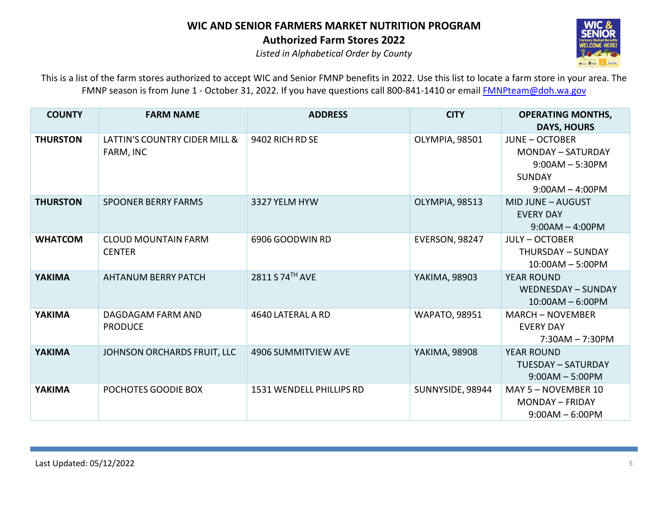

*Listed in Alphabetical Order by County*

| <b>COUNTY</b>   | <b>FARM NAME</b>                            | <b>ADDRESS</b>                  | <b>CITY</b>           | <b>OPERATING MONTHS,</b><br><b>DAYS, HOURS</b>                                                               |
|-----------------|---------------------------------------------|---------------------------------|-----------------------|--------------------------------------------------------------------------------------------------------------|
| <b>THURSTON</b> | LATTIN'S COUNTRY CIDER MILL &<br>FARM, INC  | 9402 RICH RD SE                 | OLYMPIA, 98501        | <b>JUNE - OCTOBER</b><br><b>MONDAY - SATURDAY</b><br>$9:00AM - 5:30PM$<br><b>SUNDAY</b><br>$9:00AM - 4:00PM$ |
| <b>THURSTON</b> | <b>SPOONER BERRY FARMS</b>                  | 3327 YELM HYW                   | OLYMPIA, 98513        | MID JUNE - AUGUST<br><b>EVERY DAY</b><br>$9:00AM - 4:00PM$                                                   |
| <b>WHATCOM</b>  | <b>CLOUD MOUNTAIN FARM</b><br><b>CENTER</b> | 6906 GOODWIN RD                 | <b>EVERSON, 98247</b> | <b>JULY - OCTOBER</b><br>THURSDAY - SUNDAY<br>$10:00AM - 5:00PM$                                             |
| <b>YAKIMA</b>   | <b>AHTANUM BERRY PATCH</b>                  | 2811 S 74TH AVE                 | YAKIMA, 98903         | <b>YEAR ROUND</b><br>WEDNESDAY - SUNDAY<br>$10:00AM - 6:00PM$                                                |
| <b>YAKIMA</b>   | DAGDAGAM FARM AND<br><b>PRODUCE</b>         | 4640 LATERAL A RD               | <b>WAPATO, 98951</b>  | <b>MARCH - NOVEMBER</b><br><b>EVERY DAY</b><br>$7:30AM - 7:30PM$                                             |
| <b>YAKIMA</b>   | JOHNSON ORCHARDS FRUIT, LLC                 | 4906 SUMMITVIEW AVE             | YAKIMA, 98908         | <b>YEAR ROUND</b><br><b>TUESDAY - SATURDAY</b><br>$9:00AM - 5:00PM$                                          |
| <b>YAKIMA</b>   | POCHOTES GOODIE BOX                         | <b>1531 WENDELL PHILLIPS RD</b> | SUNNYSIDE, 98944      | MAY 5 - NOVEMBER 10<br><b>MONDAY - FRIDAY</b><br>$9:00AM - 6:00PM$                                           |